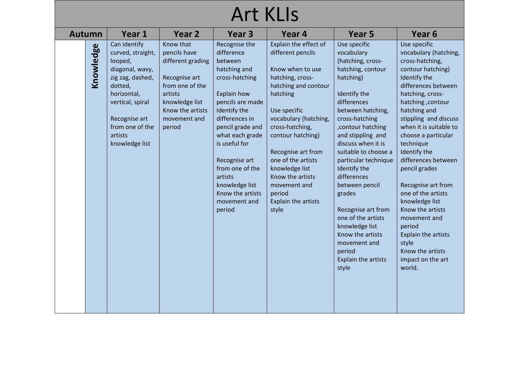| <b>Autumn</b> | Year 1                                                                                                                                                                                             | Year 2                                                                                                                                                        | Year <sub>3</sub>                                                                                                                                                                                                                                                                                                           | Year 4                                                                                                                                                                                                                                                                                                                                                     | Year 5                                                                                                                                                                                                                                                                                                                                                                                                                                                                                 | Year 6                                                                                                                                                                                                                                                                                                                                                                                                                                                                                                                      |
|---------------|----------------------------------------------------------------------------------------------------------------------------------------------------------------------------------------------------|---------------------------------------------------------------------------------------------------------------------------------------------------------------|-----------------------------------------------------------------------------------------------------------------------------------------------------------------------------------------------------------------------------------------------------------------------------------------------------------------------------|------------------------------------------------------------------------------------------------------------------------------------------------------------------------------------------------------------------------------------------------------------------------------------------------------------------------------------------------------------|----------------------------------------------------------------------------------------------------------------------------------------------------------------------------------------------------------------------------------------------------------------------------------------------------------------------------------------------------------------------------------------------------------------------------------------------------------------------------------------|-----------------------------------------------------------------------------------------------------------------------------------------------------------------------------------------------------------------------------------------------------------------------------------------------------------------------------------------------------------------------------------------------------------------------------------------------------------------------------------------------------------------------------|
| Knowledge     | Can identify<br>curved, straight,<br>looped,<br>diagonal, wavy,<br>zig zag, dashed,<br>dotted,<br>horizontal,<br>vertical, spiral<br>Recognise art<br>from one of the<br>artists<br>knowledge list | Know that<br>pencils have<br>different grading<br>Recognise art<br>from one of the<br>artists<br>knowledge list<br>Know the artists<br>movement and<br>period | Recognise the<br>difference<br>between<br>hatching and<br>cross-hatching<br><b>Explain how</b><br>pencils are made<br>Identify the<br>differences in<br>pencil grade and<br>what each grade<br>is useful for<br>Recognise art<br>from one of the<br>artists<br>knowledge list<br>Know the artists<br>movement and<br>period | Explain the effect of<br>different pencils<br>Know when to use<br>hatching, cross-<br>hatching and contour<br>hatching<br>Use specific<br>vocabulary (hatching,<br>cross-hatching,<br>contour hatching)<br>Recognise art from<br>one of the artists<br>knowledge list<br>Know the artists<br>movement and<br>period<br><b>Explain the artists</b><br>style | Use specific<br>vocabulary<br>(hatching, cross-<br>hatching, contour<br>hatching)<br>Identify the<br>differences<br>between hatching,<br>cross-hatching<br>, contour hatching<br>and stippling and<br>discuss when it is<br>suitable to choose a<br>particular technique<br>Identify the<br>differences<br>between pencil<br>grades<br>Recognise art from<br>one of the artists<br>knowledge list<br>Know the artists<br>movement and<br>period<br><b>Explain the artists</b><br>style | Use specific<br>vocabulary (hatching,<br>cross-hatching,<br>contour hatching)<br>Identify the<br>differences between<br>hatching, cross-<br>hatching, contour<br>hatching and<br>stippling and discuss<br>when it is suitable to<br>choose a particular<br>technique<br>Identify the<br>differences between<br>pencil grades<br>Recognise art from<br>one of the artists<br>knowledge list<br>Know the artists<br>movement and<br>period<br>Explain the artists<br>style<br>Know the artists<br>impact on the art<br>world. |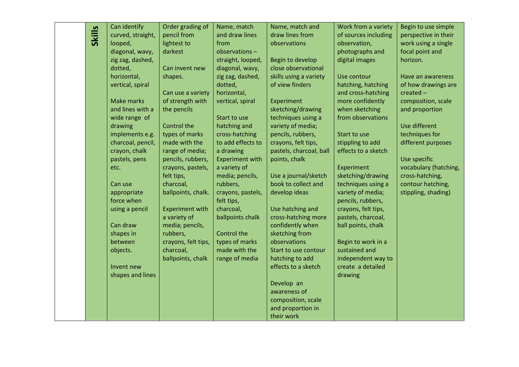|               | Can identify      | Order grading of       | Name, match            | Name, match and         | Work from a variety  | Begin to use simple   |
|---------------|-------------------|------------------------|------------------------|-------------------------|----------------------|-----------------------|
|               | curved, straight, | pencil from            | and draw lines         | draw lines from         | of sources including | perspective in their  |
| <b>Skills</b> | looped,           | lightest to            | from                   | observations            | observation,         | work using a single   |
|               | diagonal, wavy,   | darkest                | observations-          |                         | photographs and      | focal point and       |
|               | zig zag, dashed,  |                        | straight, looped,      | Begin to develop        | digital images       | horizon.              |
|               | dotted,           | Can invent new         | diagonal, wavy,        | close observational     |                      |                       |
|               | horizontal,       | shapes.                | zig zag, dashed,       | skills using a variety  | Use contour          | Have an awareness     |
|               | vertical, spiral  |                        | dotted,                | of view finders         | hatching, hatching   | of how drawings are   |
|               |                   | Can use a variety      | horizontal,            |                         | and cross-hatching   | $created -$           |
|               | <b>Make marks</b> | of strength with       | vertical, spiral       | Experiment              | more confidently     | composition, scale    |
|               | and lines with a  | the pencils            |                        | sketching/drawing       | when sketching       | and proportion        |
|               | wide range of     |                        | Start to use           | techniques using a      | from observations    |                       |
|               | drawing           | Control the            | hatching and           | variety of media;       |                      | Use different         |
|               | implements e.g.   | types of marks         | cross-hatching         | pencils, rubbers,       | Start to use         | techniques for        |
|               | charcoal, pencil, | made with the          | to add effects to      | crayons, felt tips,     | stippling to add     | different purposes    |
|               | crayon, chalk     | range of media;        | a drawing              | pastels, charcoal, ball | effects to a sketch  |                       |
|               | pastels, pens     | pencils, rubbers,      | <b>Experiment with</b> | points, chalk           |                      | Use specific          |
|               | etc.              | crayons, pastels,      | a variety of           |                         | Experiment           | vocabulary (hatching, |
|               |                   | felt tips,             | media; pencils,        | Use a journal/sketch    | sketching/drawing    | cross-hatching,       |
|               | Can use           | charcoal,              | rubbers,               | book to collect and     | techniques using a   | contour hatching,     |
|               | appropriate       | ballpoints, chalk.     | crayons, pastels,      | develop ideas           | variety of media;    | stippling, shading)   |
|               | force when        |                        | felt tips,             |                         | pencils, rubbers,    |                       |
|               | using a pencil    | <b>Experiment with</b> | charcoal,              | Use hatching and        | crayons, felt tips,  |                       |
|               |                   | a variety of           | ballpoints chalk       | cross-hatching more     | pastels, charcoal,   |                       |
|               | Can draw          | media; pencils,        |                        | confidently when        | ball points, chalk   |                       |
|               | shapes in         | rubbers,               | Control the            | sketching from          |                      |                       |
|               | between           | crayons, felt tips,    | types of marks         | observations            | Begin to work in a   |                       |
|               | objects.          | charcoal,              | made with the          | Start to use contour    | sustained and        |                       |
|               |                   | ballpoints, chalk      | range of media         | hatching to add         | independent way to   |                       |
|               | Invent new        |                        |                        | effects to a sketch     | create a detailed    |                       |
|               | shapes and lines  |                        |                        |                         | drawing              |                       |
|               |                   |                        |                        | Develop an              |                      |                       |
|               |                   |                        |                        | awareness of            |                      |                       |
|               |                   |                        |                        | composition, scale      |                      |                       |
|               |                   |                        |                        | and proportion in       |                      |                       |
|               |                   |                        |                        | their work              |                      |                       |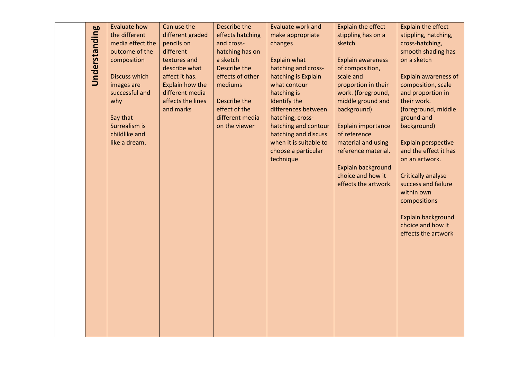|               | Evaluate how         | Can use the       | Describe the     | <b>Evaluate work and</b> | Explain the effect                             | Explain the effect                               |
|---------------|----------------------|-------------------|------------------|--------------------------|------------------------------------------------|--------------------------------------------------|
| Understanding | the different        | different graded  | effects hatching | make appropriate         | stippling has on a                             | stippling, hatching,                             |
|               | media effect the     | pencils on        | and cross-       | changes                  | sketch                                         | cross-hatching,                                  |
|               | outcome of the       | different         | hatching has on  |                          |                                                | smooth shading has                               |
|               | composition          | textures and      | a sketch         | Explain what             | <b>Explain awareness</b>                       | on a sketch                                      |
|               |                      | describe what     | Describe the     | hatching and cross-      | of composition,                                |                                                  |
|               | <b>Discuss which</b> | affect it has.    | effects of other | hatching is Explain      | scale and                                      | Explain awareness of                             |
|               | images are           | Explain how the   | mediums          | what contour             | proportion in their                            | composition, scale                               |
|               | successful and       | different media   |                  | hatching is              | work. (foreground,                             | and proportion in                                |
|               | why                  | affects the lines | Describe the     | Identify the             | middle ground and                              | their work.                                      |
|               |                      | and marks         | effect of the    | differences between      | background)                                    | (foreground, middle                              |
|               | Say that             |                   | different media  | hatching, cross-         |                                                | ground and                                       |
|               | Surrealism is        |                   | on the viewer    | hatching and contour     | Explain importance                             | background)                                      |
|               | childlike and        |                   |                  | hatching and discuss     | of reference                                   |                                                  |
|               | like a dream.        |                   |                  | when it is suitable to   | material and using                             | <b>Explain perspective</b>                       |
|               |                      |                   |                  | choose a particular      | reference material.                            | and the effect it has                            |
|               |                      |                   |                  | technique                |                                                | on an artwork.                                   |
|               |                      |                   |                  |                          | <b>Explain background</b><br>choice and how it |                                                  |
|               |                      |                   |                  |                          | effects the artwork.                           | <b>Critically analyse</b><br>success and failure |
|               |                      |                   |                  |                          |                                                | within own                                       |
|               |                      |                   |                  |                          |                                                | compositions                                     |
|               |                      |                   |                  |                          |                                                |                                                  |
|               |                      |                   |                  |                          |                                                | Explain background                               |
|               |                      |                   |                  |                          |                                                | choice and how it                                |
|               |                      |                   |                  |                          |                                                | effects the artwork                              |
|               |                      |                   |                  |                          |                                                |                                                  |
|               |                      |                   |                  |                          |                                                |                                                  |
|               |                      |                   |                  |                          |                                                |                                                  |
|               |                      |                   |                  |                          |                                                |                                                  |
|               |                      |                   |                  |                          |                                                |                                                  |
|               |                      |                   |                  |                          |                                                |                                                  |
|               |                      |                   |                  |                          |                                                |                                                  |
|               |                      |                   |                  |                          |                                                |                                                  |
|               |                      |                   |                  |                          |                                                |                                                  |
|               |                      |                   |                  |                          |                                                |                                                  |
|               |                      |                   |                  |                          |                                                |                                                  |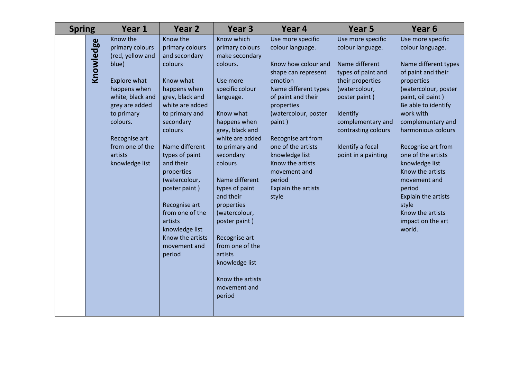| <b>Spring</b> | Year 1                                                                                                                                                                                                                    | Year 2                                                                                                                                                                                                                                                                                                                                                                               | Year <sub>3</sub>                                                                                                                                                                                                                                                                                                                                                                                                                    | Year 4                                                                                                                                                                                                                                                                                                                                   | Year <sub>5</sub>                                                                                                                                                                                                                      | Year 6                                                                                                                                                                                                                                                                                                                                                                                                                       |
|---------------|---------------------------------------------------------------------------------------------------------------------------------------------------------------------------------------------------------------------------|--------------------------------------------------------------------------------------------------------------------------------------------------------------------------------------------------------------------------------------------------------------------------------------------------------------------------------------------------------------------------------------|--------------------------------------------------------------------------------------------------------------------------------------------------------------------------------------------------------------------------------------------------------------------------------------------------------------------------------------------------------------------------------------------------------------------------------------|------------------------------------------------------------------------------------------------------------------------------------------------------------------------------------------------------------------------------------------------------------------------------------------------------------------------------------------|----------------------------------------------------------------------------------------------------------------------------------------------------------------------------------------------------------------------------------------|------------------------------------------------------------------------------------------------------------------------------------------------------------------------------------------------------------------------------------------------------------------------------------------------------------------------------------------------------------------------------------------------------------------------------|
| Knowledge     | Know the<br>primary colours<br>(red, yellow and<br>blue)<br>Explore what<br>happens when<br>white, black and<br>grey are added<br>to primary<br>colours.<br>Recognise art<br>from one of the<br>artists<br>knowledge list | Know the<br>primary colours<br>and secondary<br>colours<br>Know what<br>happens when<br>grey, black and<br>white are added<br>to primary and<br>secondary<br>colours<br>Name different<br>types of paint<br>and their<br>properties<br>(watercolour,<br>poster paint)<br>Recognise art<br>from one of the<br>artists<br>knowledge list<br>Know the artists<br>movement and<br>period | Know which<br>primary colours<br>make secondary<br>colours.<br>Use more<br>specific colour<br>language.<br>Know what<br>happens when<br>grey, black and<br>white are added<br>to primary and<br>secondary<br>colours<br>Name different<br>types of paint<br>and their<br>properties<br>(watercolour,<br>poster paint)<br>Recognise art<br>from one of the<br>artists<br>knowledge list<br>Know the artists<br>movement and<br>period | Use more specific<br>colour language.<br>Know how colour and<br>shape can represent<br>emotion<br>Name different types<br>of paint and their<br>properties<br>(watercolour, poster<br>paint)<br>Recognise art from<br>one of the artists<br>knowledge list<br>Know the artists<br>movement and<br>period<br>Explain the artists<br>style | Use more specific<br>colour language.<br>Name different<br>types of paint and<br>their properties<br>(watercolour,<br>poster paint)<br>Identify<br>complementary and<br>contrasting colours<br>Identify a focal<br>point in a painting | Use more specific<br>colour language.<br>Name different types<br>of paint and their<br>properties<br>(watercolour, poster<br>paint, oil paint)<br>Be able to identify<br>work with<br>complementary and<br>harmonious colours<br>Recognise art from<br>one of the artists<br>knowledge list<br>Know the artists<br>movement and<br>period<br>Explain the artists<br>style<br>Know the artists<br>impact on the art<br>world. |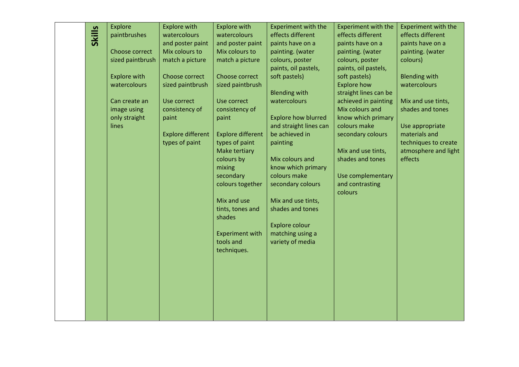|               | <b>Explore</b>      | <b>Explore with</b>      | <b>Explore with</b>      | <b>Experiment with the</b> | <b>Experiment with the</b> | <b>Experiment with the</b> |
|---------------|---------------------|--------------------------|--------------------------|----------------------------|----------------------------|----------------------------|
|               | paintbrushes        | watercolours             | watercolours             | effects different          | effects different          | effects different          |
| <b>Skills</b> |                     | and poster paint         | and poster paint         | paints have on a           | paints have on a           | paints have on a           |
|               | Choose correct      | Mix colours to           | Mix colours to           | painting. (water           | painting. (water           | painting. (water           |
|               | sized paintbrush    | match a picture          | match a picture          | colours, poster            | colours, poster            | colours)                   |
|               |                     |                          |                          | paints, oil pastels,       | paints, oil pastels,       |                            |
|               | <b>Explore with</b> | Choose correct           | Choose correct           | soft pastels)              | soft pastels)              | <b>Blending with</b>       |
|               | watercolours        | sized paintbrush         | sized paintbrush         |                            | <b>Explore how</b>         | watercolours               |
|               |                     |                          |                          | <b>Blending with</b>       | straight lines can be      |                            |
|               | Can create an       | Use correct              | Use correct              | watercolours               | achieved in painting       | Mix and use tints,         |
|               | image using         | consistency of           | consistency of           |                            | Mix colours and            | shades and tones           |
|               | only straight       | paint                    | paint                    | <b>Explore how blurred</b> | know which primary         |                            |
|               | lines               |                          |                          | and straight lines can     | colours make               | Use appropriate            |
|               |                     | <b>Explore different</b> | <b>Explore different</b> | be achieved in             | secondary colours          | materials and              |
|               |                     | types of paint           | types of paint           | painting                   |                            | techniques to create       |
|               |                     |                          | Make tertiary            |                            | Mix and use tints,         | atmosphere and light       |
|               |                     |                          | colours by               | Mix colours and            | shades and tones           | effects                    |
|               |                     |                          | mixing                   | know which primary         |                            |                            |
|               |                     |                          | secondary                | colours make               | Use complementary          |                            |
|               |                     |                          | colours together         | secondary colours          | and contrasting            |                            |
|               |                     |                          |                          |                            | colours                    |                            |
|               |                     |                          | Mix and use              | Mix and use tints,         |                            |                            |
|               |                     |                          | tints, tones and         | shades and tones           |                            |                            |
|               |                     |                          | shades                   |                            |                            |                            |
|               |                     |                          |                          | <b>Explore colour</b>      |                            |                            |
|               |                     |                          | <b>Experiment with</b>   | matching using a           |                            |                            |
|               |                     |                          | tools and                | variety of media           |                            |                            |
|               |                     |                          | techniques.              |                            |                            |                            |
|               |                     |                          |                          |                            |                            |                            |
|               |                     |                          |                          |                            |                            |                            |
|               |                     |                          |                          |                            |                            |                            |
|               |                     |                          |                          |                            |                            |                            |
|               |                     |                          |                          |                            |                            |                            |
|               |                     |                          |                          |                            |                            |                            |
|               |                     |                          |                          |                            |                            |                            |
|               |                     |                          |                          |                            |                            |                            |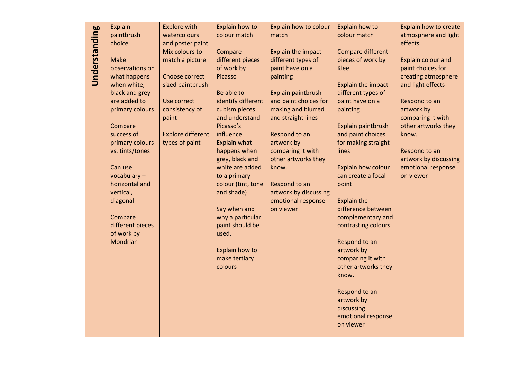|                      | <b>Explain</b>                | <b>Explore with</b>      | Explain how to     | Explain how to colour | Explain how to              | Explain how to create     |
|----------------------|-------------------------------|--------------------------|--------------------|-----------------------|-----------------------------|---------------------------|
| <b>Understanding</b> | paintbrush                    | watercolours             | colour match       | match                 | colour match                | atmosphere and light      |
|                      | choice                        | and poster paint         |                    |                       |                             | effects                   |
|                      |                               | Mix colours to           | Compare            | Explain the impact    | Compare different           |                           |
|                      | <b>Make</b>                   | match a picture          | different pieces   | different types of    | pieces of work by           | <b>Explain colour and</b> |
|                      | observations on               |                          | of work by         | paint have on a       | Klee                        | paint choices for         |
|                      | what happens                  | Choose correct           | <b>Picasso</b>     | painting              |                             | creating atmosphere       |
|                      | when white,                   | sized paintbrush         |                    |                       | Explain the impact          | and light effects         |
|                      | black and grey                |                          | Be able to         | Explain paintbrush    | different types of          |                           |
|                      | are added to                  | Use correct              | identify different | and paint choices for | paint have on a             | Respond to an             |
|                      | primary colours               | consistency of           | cubism pieces      | making and blurred    | painting                    | artwork by                |
|                      |                               | paint                    | and understand     | and straight lines    |                             | comparing it with         |
|                      | Compare                       |                          | Picasso's          |                       | Explain paintbrush          | other artworks they       |
|                      | success of                    | <b>Explore different</b> | influence.         | Respond to an         | and paint choices           | know.                     |
|                      | primary colours               | types of paint           | Explain what       | artwork by            | for making straight         |                           |
|                      | vs. tints/tones               |                          | happens when       | comparing it with     | lines                       | Respond to an             |
|                      |                               |                          | grey, black and    | other artworks they   |                             | artwork by discussing     |
|                      | Can use                       |                          | white are added    | know.                 | Explain how colour          | emotional response        |
|                      | vocabulary-                   |                          | to a primary       |                       | can create a focal          | on viewer                 |
|                      | horizontal and                |                          | colour (tint, tone | Respond to an         | point                       |                           |
|                      | vertical,                     |                          | and shade)         | artwork by discussing |                             |                           |
|                      | diagonal                      |                          |                    | emotional response    | <b>Explain the</b>          |                           |
|                      |                               |                          | Say when and       | on viewer             | difference between          |                           |
|                      | Compare                       |                          | why a particular   |                       | complementary and           |                           |
|                      | different pieces              |                          | paint should be    |                       | contrasting colours         |                           |
|                      | of work by<br><b>Mondrian</b> |                          | used.              |                       |                             |                           |
|                      |                               |                          | Explain how to     |                       | Respond to an<br>artwork by |                           |
|                      |                               |                          | make tertiary      |                       | comparing it with           |                           |
|                      |                               |                          | colours            |                       | other artworks they         |                           |
|                      |                               |                          |                    |                       | know.                       |                           |
|                      |                               |                          |                    |                       |                             |                           |
|                      |                               |                          |                    |                       | Respond to an               |                           |
|                      |                               |                          |                    |                       | artwork by                  |                           |
|                      |                               |                          |                    |                       | discussing                  |                           |
|                      |                               |                          |                    |                       | emotional response          |                           |
|                      |                               |                          |                    |                       | on viewer                   |                           |
|                      |                               |                          |                    |                       |                             |                           |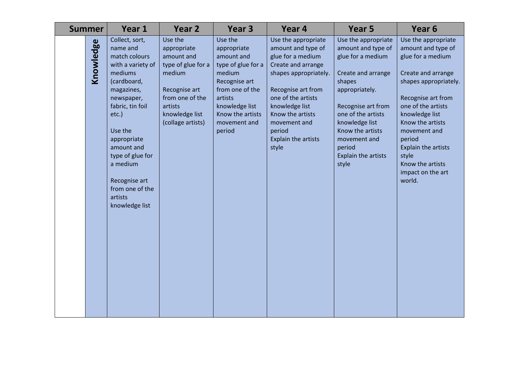| <b>Summer</b> | Year 1                                                                                                                                                                                                                                                                                          | Year 2                                                                                                                                                     | Year <sub>3</sub>                                                                                                                                                                   | Year 4                                                                                                                                                                                                                                                    | Year <sub>5</sub>                                                                                                                                                                                                                                            | Year <sub>6</sub>                                                                                                                                                                                                                                                                                            |
|---------------|-------------------------------------------------------------------------------------------------------------------------------------------------------------------------------------------------------------------------------------------------------------------------------------------------|------------------------------------------------------------------------------------------------------------------------------------------------------------|-------------------------------------------------------------------------------------------------------------------------------------------------------------------------------------|-----------------------------------------------------------------------------------------------------------------------------------------------------------------------------------------------------------------------------------------------------------|--------------------------------------------------------------------------------------------------------------------------------------------------------------------------------------------------------------------------------------------------------------|--------------------------------------------------------------------------------------------------------------------------------------------------------------------------------------------------------------------------------------------------------------------------------------------------------------|
| Knowledge     | Collect, sort,<br>name and<br>match colours<br>with a variety of<br>mediums<br>(cardboard,<br>magazines,<br>newspaper,<br>fabric, tin foil<br>$etc.$ )<br>Use the<br>appropriate<br>amount and<br>type of glue for<br>a medium<br>Recognise art<br>from one of the<br>artists<br>knowledge list | Use the<br>appropriate<br>amount and<br>type of glue for a<br>medium<br>Recognise art<br>from one of the<br>artists<br>knowledge list<br>(collage artists) | Use the<br>appropriate<br>amount and<br>type of glue for a<br>medium<br>Recognise art<br>from one of the<br>artists<br>knowledge list<br>Know the artists<br>movement and<br>period | Use the appropriate<br>amount and type of<br>glue for a medium<br>Create and arrange<br>shapes appropriately.<br>Recognise art from<br>one of the artists<br>knowledge list<br>Know the artists<br>movement and<br>period<br>Explain the artists<br>style | Use the appropriate<br>amount and type of<br>glue for a medium<br>Create and arrange<br>shapes<br>appropriately.<br>Recognise art from<br>one of the artists<br>knowledge list<br>Know the artists<br>movement and<br>period<br>Explain the artists<br>style | Use the appropriate<br>amount and type of<br>glue for a medium<br>Create and arrange<br>shapes appropriately.<br>Recognise art from<br>one of the artists<br>knowledge list<br>Know the artists<br>movement and<br>period<br>Explain the artists<br>style<br>Know the artists<br>impact on the art<br>world. |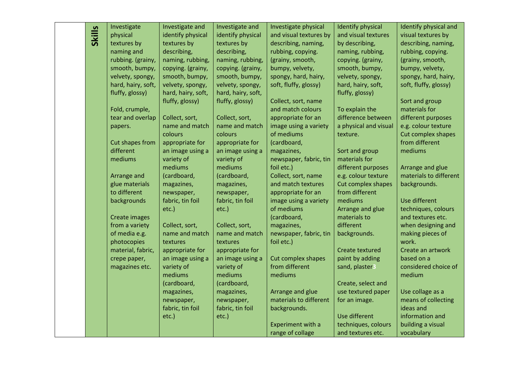|               | Investigate                    | Investigate and                     | Investigate and                     | Investigate physical   | <b>Identify physical</b> | Identify physical and      |
|---------------|--------------------------------|-------------------------------------|-------------------------------------|------------------------|--------------------------|----------------------------|
| <b>Skills</b> | physical                       | identify physical                   | identify physical                   | and visual textures by | and visual textures      | visual textures by         |
|               | textures by                    | textures by                         | textures by                         | describing, naming,    | by describing,           | describing, naming,        |
|               | naming and                     | describing,                         | describing,                         | rubbing, copying.      | naming, rubbing,         | rubbing, copying.          |
|               | rubbing. (grainy,              | naming, rubbing,                    | naming, rubbing,                    | (grainy, smooth,       | copying. (grainy,        | (grainy, smooth,           |
|               | smooth, bumpy,                 | copying. (grainy,                   | copying. (grainy,                   | bumpy, velvety,        | smooth, bumpy,           | bumpy, velvety,            |
|               | velvety, spongy,               | smooth, bumpy,                      | smooth, bumpy,                      | spongy, hard, hairy,   | velvety, spongy,         | spongy, hard, hairy,       |
|               | hard, hairy, soft,             | velvety, spongy,                    | velvety, spongy,                    | soft, fluffy, glossy)  | hard, hairy, soft,       | soft, fluffy, glossy)      |
|               | fluffy, glossy)                | hard, hairy, soft,                  | hard, hairy, soft,                  |                        | fluffy, glossy)          |                            |
|               |                                | fluffy, glossy)                     | fluffy, glossy)                     | Collect, sort, name    |                          | Sort and group             |
|               | Fold, crumple,                 |                                     |                                     | and match colours      | To explain the           | materials for              |
|               | tear and overlap               | Collect, sort,                      | Collect, sort,                      | appropriate for an     | difference between       | different purposes         |
|               | papers.                        | name and match                      | name and match                      | image using a variety  | a physical and visual    | e.g. colour texture        |
|               |                                | colours                             | colours                             | of mediums             | texture.                 | Cut complex shapes         |
|               | Cut shapes from                | appropriate for                     | appropriate for                     | (cardboard,            |                          | from different             |
|               | different                      | an image using a                    | an image using a                    | magazines,             | Sort and group           | mediums                    |
|               | mediums                        | variety of                          | variety of                          | newspaper, fabric, tin | materials for            |                            |
|               |                                | mediums                             | mediums                             | foil etc.)             | different purposes       | Arrange and glue           |
|               | Arrange and                    | (cardboard,                         | (cardboard,                         | Collect, sort, name    | e.g. colour texture      | materials to different     |
|               | glue materials                 | magazines,                          | magazines,                          | and match textures     | Cut complex shapes       | backgrounds.               |
|               | to different                   | newspaper,                          | newspaper,                          | appropriate for an     | from different           |                            |
|               | backgrounds                    | fabric, tin foil                    | fabric, tin foil                    | image using a variety  | mediums                  | Use different              |
|               |                                | etc.)                               | etc.)                               | of mediums             | Arrange and glue         | techniques, colours        |
|               | Create images                  |                                     |                                     | (cardboard,            | materials to             | and textures etc.          |
|               | from a variety                 | Collect, sort,                      | Collect, sort,                      | magazines,             | different                | when designing and         |
|               | of media e.g.                  | name and match                      | name and match                      | newspaper, fabric, tin | backgrounds.             | making pieces of           |
|               | photocopies                    | textures                            | textures                            | foil etc.)             | <b>Create textured</b>   | work.<br>Create an artwork |
|               | material, fabric,              | appropriate for<br>an image using a | appropriate for<br>an image using a | Cut complex shapes     | paint by adding          | based on a                 |
|               | crepe paper,<br>magazines etc. | variety of                          | variety of                          | from different         | sand, plaster3           | considered choice of       |
|               |                                | mediums                             | mediums                             | mediums                |                          | medium                     |
|               |                                | (cardboard,                         | (cardboard,                         |                        | Create, select and       |                            |
|               |                                | magazines,                          | magazines,                          | Arrange and glue       | use textured paper       | Use collage as a           |
|               |                                | newspaper,                          | newspaper,                          | materials to different | for an image.            | means of collecting        |
|               |                                | fabric, tin foil                    | fabric, tin foil                    | backgrounds.           |                          | ideas and                  |
|               |                                | etc.)                               | etc.)                               |                        | Use different            | information and            |
|               |                                |                                     |                                     | Experiment with a      | techniques, colours      | building a visual          |
|               |                                |                                     |                                     | range of collage       | and textures etc.        | vocabulary                 |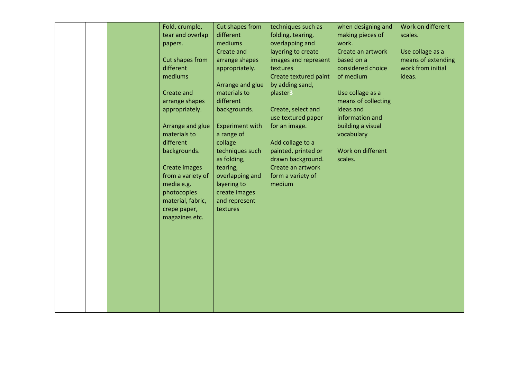|  | Fold, crumple,<br>tear and overlap<br>papers.<br>Cut shapes from<br>different<br>mediums<br>Create and<br>arrange shapes<br>appropriately.<br>Arrange and glue<br>materials to<br>different | Cut shapes from<br>different<br>mediums<br>Create and<br>arrange shapes<br>appropriately.<br>Arrange and glue<br>materials to<br>different<br>backgrounds.<br><b>Experiment with</b><br>a range of<br>collage | techniques such as<br>folding, tearing,<br>overlapping and<br>layering to create<br>images and represent<br>textures<br>Create textured paint<br>by adding sand,<br>plaster3<br>Create, select and<br>use textured paper<br>for an image.<br>Add collage to a | when designing and<br>making pieces of<br>work.<br>Create an artwork<br>based on a<br>considered choice<br>of medium<br>Use collage as a<br>means of collecting<br>ideas and<br>information and<br>building a visual<br>vocabulary | Work on different<br>scales.<br>Use collage as a<br>means of extending<br>work from initial<br>ideas. |
|--|---------------------------------------------------------------------------------------------------------------------------------------------------------------------------------------------|---------------------------------------------------------------------------------------------------------------------------------------------------------------------------------------------------------------|---------------------------------------------------------------------------------------------------------------------------------------------------------------------------------------------------------------------------------------------------------------|------------------------------------------------------------------------------------------------------------------------------------------------------------------------------------------------------------------------------------|-------------------------------------------------------------------------------------------------------|
|  | material, fabric,<br>crepe paper,<br>magazines etc.                                                                                                                                         | and represent<br>textures                                                                                                                                                                                     |                                                                                                                                                                                                                                                               |                                                                                                                                                                                                                                    |                                                                                                       |